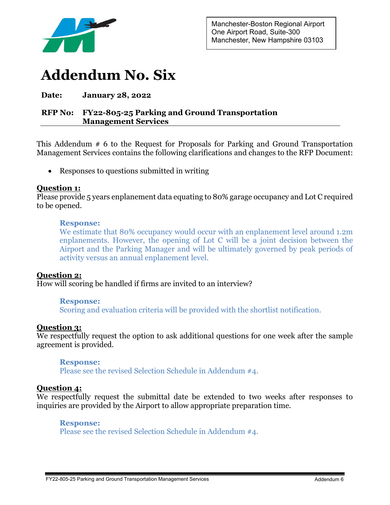

# **Addendum No. Six**

# **Date: January 28, 2022**

# **RFP No: FY22-805-25 Parking and Ground Transportation Management Services**

This Addendum # 6 to the Request for Proposals for Parking and Ground Transportation Management Services contains the following clarifications and changes to the RFP Document:

• Responses to questions submitted in writing

# **Question 1:**

Please provide 5 years enplanement data equating to 80% garage occupancy and Lot C required to be opened.

## **Response:**

We estimate that 80% occupancy would occur with an enplanement level around 1.2m enplanements. However, the opening of Lot C will be a joint decision between the Airport and the Parking Manager and will be ultimately governed by peak periods of activity versus an annual enplanement level.

# **Question 2:**

How will scoring be handled if firms are invited to an interview?

#### **Response:**

Scoring and evaluation criteria will be provided with the shortlist notification.

## **Question 3:**

We respectfully request the option to ask additional questions for one week after the sample agreement is provided.

#### **Response:**

Please see the revised Selection Schedule in Addendum #4.

## **Question 4:**

We respectfully request the submittal date be extended to two weeks after responses to inquiries are provided by the Airport to allow appropriate preparation time.

#### **Response:**

Please see the revised Selection Schedule in Addendum #4.